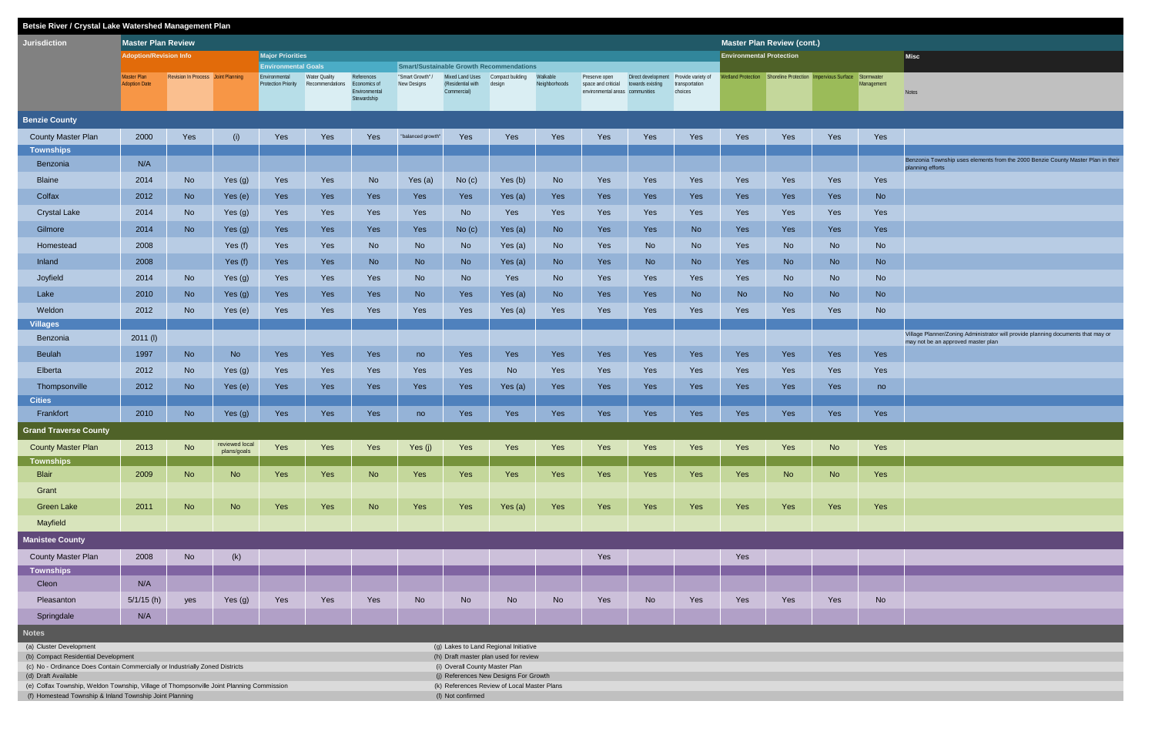| Betsie River / Crystal Lake Watershed Management Plan                                                                                               |                               |                                    |                |                                             |                      |                               |                   |                                         |                                                 |               |                                                        |                                       |                           |                                   |                                                                       |           |            |                                                                                                      |
|-----------------------------------------------------------------------------------------------------------------------------------------------------|-------------------------------|------------------------------------|----------------|---------------------------------------------|----------------------|-------------------------------|-------------------|-----------------------------------------|-------------------------------------------------|---------------|--------------------------------------------------------|---------------------------------------|---------------------------|-----------------------------------|-----------------------------------------------------------------------|-----------|------------|------------------------------------------------------------------------------------------------------|
| <b>Jurisdiction</b>                                                                                                                                 | <b>Master Plan Review</b>     |                                    |                |                                             |                      |                               |                   |                                         |                                                 |               |                                                        |                                       |                           | <b>Master Plan Review (cont.)</b> |                                                                       |           |            |                                                                                                      |
|                                                                                                                                                     | <b>Adoption/Revision Info</b> |                                    |                | <b>Major Priorities</b>                     |                      |                               |                   |                                         |                                                 |               |                                                        |                                       |                           | <b>Environmental Protection</b>   |                                                                       |           |            | <b>Misc</b>                                                                                          |
|                                                                                                                                                     | Master Plan                   | Revision In Process Joint Planning |                | <b>Environmental Goals</b><br>Environmental | <b>Water Quality</b> | References                    | "Smart Growth" /  | Mixed Land Uses Compact building        | <b>Smart/Sustainable Growth Recommendations</b> | Walkable      | Preserve open                                          | Direct development Provide variety of |                           |                                   | Wetland Protection Shoreline Protection Impervious Surface Stormwater |           |            |                                                                                                      |
|                                                                                                                                                     | <b>Adoption Date</b>          |                                    |                | <b>Protection Priority</b>                  | Recommendations      | Economics of<br>Environmental | New Designs       | (Residential with design<br>Commercial) |                                                 | Neighborhoods | space and criticial<br>environmental areas communities | towards existing                      | transportation<br>choices |                                   |                                                                       |           | Management | Notes                                                                                                |
|                                                                                                                                                     |                               |                                    |                |                                             |                      | Stewardship                   |                   |                                         |                                                 |               |                                                        |                                       |                           |                                   |                                                                       |           |            |                                                                                                      |
| <b>Benzie County</b>                                                                                                                                |                               |                                    |                |                                             |                      |                               |                   |                                         |                                                 |               |                                                        |                                       |                           |                                   |                                                                       |           |            |                                                                                                      |
| <b>County Master Plan</b>                                                                                                                           | 2000                          | Yes                                | (i)            | Yes                                         | Yes                  | Yes                           | "balanced growth" | Yes                                     | Yes                                             | Yes           | Yes                                                    | Yes                                   | Yes                       | Yes                               | Yes                                                                   | Yes       | Yes        |                                                                                                      |
| <b>Townships</b>                                                                                                                                    |                               |                                    |                |                                             |                      |                               |                   |                                         |                                                 |               |                                                        |                                       |                           |                                   |                                                                       |           |            |                                                                                                      |
| Benzonia                                                                                                                                            | N/A                           |                                    |                |                                             |                      |                               |                   |                                         |                                                 |               |                                                        |                                       |                           |                                   |                                                                       |           |            | Benzonia Township uses elements from the 2000 Benzie County Master Plan in their<br>planning efforts |
| <b>Blaine</b>                                                                                                                                       | 2014                          | No                                 | Yes (g)        | Yes                                         | Yes                  | No                            | Yes (a)           | No (c)                                  | Yes (b)                                         | <b>No</b>     | Yes                                                    | Yes                                   | Yes                       | Yes                               | Yes                                                                   | Yes       | Yes        |                                                                                                      |
| Colfax                                                                                                                                              | 2012                          | No                                 | Yes (e)        | Yes                                         | Yes                  | Yes                           | Yes               | Yes                                     | Yes (a)                                         | Yes           | Yes                                                    | Yes                                   | Yes                       | Yes                               | Yes                                                                   | Yes       | <b>No</b>  |                                                                                                      |
| <b>Crystal Lake</b>                                                                                                                                 | 2014                          | No                                 | Yes (g)        | Yes                                         | Yes                  | Yes                           | Yes               | <b>No</b>                               | Yes                                             | Yes           | Yes                                                    | Yes                                   | Yes                       | Yes                               | Yes                                                                   | Yes       | Yes        |                                                                                                      |
| Gilmore                                                                                                                                             | 2014                          | <b>No</b>                          | Yes (g)        | Yes                                         | Yes                  | Yes                           | Yes               | No (c)                                  | Yes (a)                                         | <b>No</b>     | Yes                                                    | Yes                                   | <b>No</b>                 | Yes                               | Yes                                                                   | Yes       | Yes        |                                                                                                      |
| Homestead                                                                                                                                           | 2008                          |                                    | Yes $(f)$      | Yes                                         | Yes                  | <b>No</b>                     | No                | <b>No</b>                               | Yes (a)                                         | <b>No</b>     | Yes                                                    | No                                    | <b>No</b>                 | Yes                               | <b>No</b>                                                             | <b>No</b> | <b>No</b>  |                                                                                                      |
| Inland                                                                                                                                              | 2008                          |                                    | Yes (f)        | Yes                                         | Yes                  | <b>No</b>                     | <b>No</b>         | <b>No</b>                               | Yes (a)                                         | No            | Yes                                                    | <b>No</b>                             | No                        | Yes                               | <b>No</b>                                                             | <b>No</b> | <b>No</b>  |                                                                                                      |
| Joyfield                                                                                                                                            | 2014                          | No                                 | Yes (g)        | Yes                                         | Yes                  | Yes                           | N <sub>o</sub>    | <b>No</b>                               | Yes                                             | No            | Yes                                                    | Yes                                   | Yes                       | Yes                               | No                                                                    | <b>No</b> | <b>No</b>  |                                                                                                      |
| Lake                                                                                                                                                | 2010                          | No                                 | Yes (g)        | Yes                                         | Yes                  | Yes                           | <b>No</b>         | Yes                                     | Yes $(a)$                                       | <b>No</b>     | Yes                                                    | Yes                                   | <b>No</b>                 | <b>No</b>                         | <b>No</b>                                                             | <b>No</b> | <b>No</b>  |                                                                                                      |
| Weldon                                                                                                                                              | 2012                          | <b>No</b>                          | Yes (e)        | Yes                                         | Yes                  | Yes                           | Yes               | Yes                                     |                                                 | Yes           | Yes                                                    | Yes                                   | Yes                       | Yes                               | Yes                                                                   | Yes       | <b>No</b>  |                                                                                                      |
| <b>Villages</b>                                                                                                                                     |                               |                                    |                |                                             |                      |                               |                   |                                         | Yes (a)                                         |               |                                                        |                                       |                           |                                   |                                                                       |           |            |                                                                                                      |
| Benzonia                                                                                                                                            | 2011 (I)                      |                                    |                |                                             |                      |                               |                   |                                         |                                                 |               |                                                        |                                       |                           |                                   |                                                                       |           |            | Village Planner/Zoning Administrator will provide planning documents that may or                     |
| <b>Beulah</b>                                                                                                                                       | 1997                          | No                                 | <b>No</b>      | Yes                                         | Yes                  | Yes                           | no                | Yes                                     | Yes                                             | Yes           | Yes                                                    | Yes                                   | Yes                       | Yes                               | Yes                                                                   | Yes       | Yes        | may not be an approved master plan                                                                   |
| Elberta                                                                                                                                             | 2012                          | <b>No</b>                          |                | Yes                                         | Yes                  | Yes                           | Yes               | Yes                                     |                                                 | Yes           | Yes                                                    | Yes                                   | Yes                       | Yes                               | Yes                                                                   | Yes       | Yes        |                                                                                                      |
|                                                                                                                                                     |                               |                                    | Yes (g)        |                                             |                      |                               |                   |                                         | No                                              |               |                                                        |                                       |                           |                                   |                                                                       |           |            |                                                                                                      |
| Thompsonville<br><b>Cities</b>                                                                                                                      | 2012                          | No                                 | Yes (e)        | Yes                                         | Yes                  | Yes                           | Yes               | Yes                                     | Yes (a)                                         | Yes           | Yes                                                    | Yes                                   | Yes                       | Yes                               | Yes                                                                   | Yes       | no         |                                                                                                      |
| Frankfort                                                                                                                                           | 2010                          | No                                 | Yes $(g)$      | Yes                                         | Yes                  | Yes                           | no                | Yes                                     | Yes                                             | Yes           | Yes                                                    | Yes                                   | Yes                       | Yes                               | Yes                                                                   | Yes       | Yes        |                                                                                                      |
| <b>Grand Traverse County</b>                                                                                                                        |                               |                                    |                |                                             |                      |                               |                   |                                         |                                                 |               |                                                        |                                       |                           |                                   |                                                                       |           |            |                                                                                                      |
|                                                                                                                                                     |                               |                                    | reviewed local |                                             |                      |                               |                   |                                         |                                                 |               |                                                        |                                       |                           |                                   |                                                                       |           |            |                                                                                                      |
| <b>County Master Plan</b><br><b>Townships</b>                                                                                                       | 2013                          | <b>No</b>                          | plans/goals    | Yes                                         | Yes                  | Yes                           | Yes (j)           | Yes                                     | Yes                                             | Yes           | Yes                                                    | Yes                                   | Yes                       | Yes                               | Yes                                                                   | <b>No</b> | Yes        |                                                                                                      |
| <b>Blair</b>                                                                                                                                        | 2009                          | No                                 | <b>No</b>      | Yes                                         | Yes                  | <b>No</b>                     | Yes               | Yes                                     | Yes                                             | Yes           | Yes                                                    | Yes                                   | Yes                       | Yes                               | <b>No</b>                                                             | <b>No</b> | Yes        |                                                                                                      |
| Grant                                                                                                                                               |                               |                                    |                |                                             |                      |                               |                   |                                         |                                                 |               |                                                        |                                       |                           |                                   |                                                                       |           |            |                                                                                                      |
| <b>Green Lake</b>                                                                                                                                   | 2011                          | <b>No</b>                          | <b>No</b>      | Yes                                         | Yes                  | No                            | Yes               | Yes                                     | Yes (a)                                         | Yes           | Yes                                                    | Yes                                   | Yes                       | Yes                               | Yes                                                                   | Yes       | Yes        |                                                                                                      |
| Mayfield                                                                                                                                            |                               |                                    |                |                                             |                      |                               |                   |                                         |                                                 |               |                                                        |                                       |                           |                                   |                                                                       |           |            |                                                                                                      |
| <b>Manistee County</b>                                                                                                                              |                               |                                    |                |                                             |                      |                               |                   |                                         |                                                 |               |                                                        |                                       |                           |                                   |                                                                       |           |            |                                                                                                      |
| <b>County Master Plan</b>                                                                                                                           | 2008                          | No                                 | (k)            |                                             |                      |                               |                   |                                         |                                                 |               | Yes                                                    |                                       |                           | Yes                               |                                                                       |           |            |                                                                                                      |
| <b>Townships</b>                                                                                                                                    |                               |                                    |                |                                             |                      |                               |                   |                                         |                                                 |               |                                                        |                                       |                           |                                   |                                                                       |           |            |                                                                                                      |
| Cleon                                                                                                                                               | N/A                           |                                    |                |                                             |                      |                               |                   |                                         |                                                 |               |                                                        |                                       |                           |                                   |                                                                       |           |            |                                                                                                      |
| Pleasanton                                                                                                                                          | $5/1/15$ (h)                  | yes                                | Yes (g)        | Yes                                         | Yes                  | Yes                           | <b>No</b>         | <b>No</b>                               | No                                              | <b>No</b>     | Yes                                                    | No                                    | Yes                       | Yes                               | Yes                                                                   | Yes       | <b>No</b>  |                                                                                                      |
| Springdale                                                                                                                                          | N/A                           |                                    |                |                                             |                      |                               |                   |                                         |                                                 |               |                                                        |                                       |                           |                                   |                                                                       |           |            |                                                                                                      |
| <b>Notes</b>                                                                                                                                        |                               |                                    |                |                                             |                      |                               |                   |                                         |                                                 |               |                                                        |                                       |                           |                                   |                                                                       |           |            |                                                                                                      |
| (a) Cluster Development                                                                                                                             |                               |                                    |                |                                             |                      |                               |                   |                                         | (g) Lakes to Land Regional Initiative           |               |                                                        |                                       |                           |                                   |                                                                       |           |            |                                                                                                      |
| (b) Compact Residential Development<br>(c) No - Ordinance Does Contain Commercially or Industrially Zoned Districts                                 |                               |                                    |                |                                             |                      |                               |                   | (i) Overall County Master Plan          | (h) Draft master plan used for review           |               |                                                        |                                       |                           |                                   |                                                                       |           |            |                                                                                                      |
| (d) Draft Available                                                                                                                                 |                               |                                    |                |                                             |                      |                               |                   |                                         | (j) References New Designs For Growth           |               |                                                        |                                       |                           |                                   |                                                                       |           |            |                                                                                                      |
| (e) Colfax Township, Weldon Township, Village of Thompsonville Joint Planning Commission<br>(f) Homestead Township & Inland Township Joint Planning |                               |                                    |                |                                             |                      |                               |                   | (I) Not confirmed                       | (k) References Review of Local Master Plans     |               |                                                        |                                       |                           |                                   |                                                                       |           |            |                                                                                                      |

| <b>No</b> |  |
|-----------|--|
|           |  |
|           |  |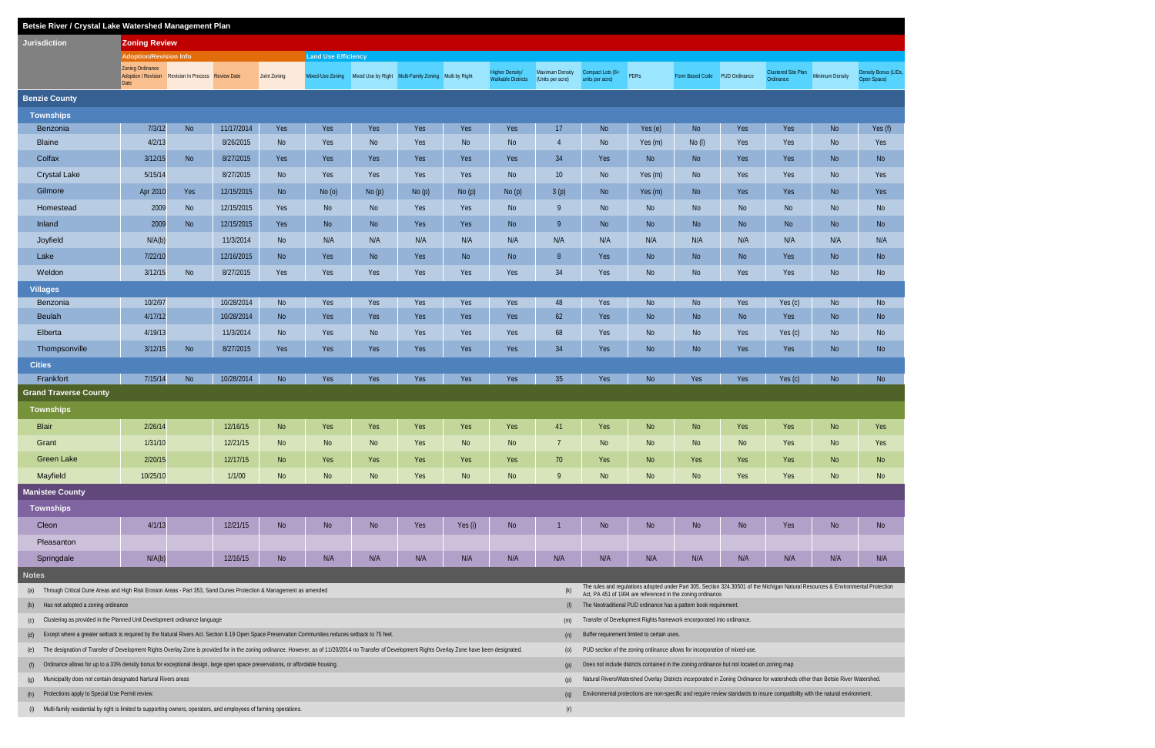| Betsie River / Crystal Lake Watershed Management Plan                                                                                                                                                                |                                                                                                                           |                                                     |            |                |                            |           |                                                       |           |                                                     |                                     |                                                                                                                                |                                             |                               |                |                                                                                                                                  |                 |                                     |  |
|----------------------------------------------------------------------------------------------------------------------------------------------------------------------------------------------------------------------|---------------------------------------------------------------------------------------------------------------------------|-----------------------------------------------------|------------|----------------|----------------------------|-----------|-------------------------------------------------------|-----------|-----------------------------------------------------|-------------------------------------|--------------------------------------------------------------------------------------------------------------------------------|---------------------------------------------|-------------------------------|----------------|----------------------------------------------------------------------------------------------------------------------------------|-----------------|-------------------------------------|--|
| <b>Jurisdiction</b>                                                                                                                                                                                                  | <b>Zoning Review</b>                                                                                                      |                                                     |            |                |                            |           |                                                       |           |                                                     |                                     |                                                                                                                                |                                             |                               |                |                                                                                                                                  |                 |                                     |  |
|                                                                                                                                                                                                                      | <b>Adoption/Revision Info</b>                                                                                             |                                                     |            |                | <b>Land Use Efficiency</b> |           |                                                       |           |                                                     |                                     |                                                                                                                                |                                             |                               |                |                                                                                                                                  |                 |                                     |  |
|                                                                                                                                                                                                                      | Zoning Ordinance<br>Date                                                                                                  | Adoption / Revision Revision In Process Review Date |            | Joint Zoning   | Mixed-Use Zoning           |           | Mixed Use by Right Multi-Family Zoning Multi by Right |           | <b>Higher Density/</b><br><b>Walkable Districts</b> | Maximum Density<br>(Units per acre) | Compact Lots (6+<br>units per acre)                                                                                            | <b>PDRs</b>                                 | Form Based Code PUD Ordinance |                | Clustered Site Plan<br>Ordinance                                                                                                 | Minimum Density | Density Bonus (LIDs,<br>Open Space) |  |
| <b>Benzie County</b>                                                                                                                                                                                                 |                                                                                                                           |                                                     |            |                |                            |           |                                                       |           |                                                     |                                     |                                                                                                                                |                                             |                               |                |                                                                                                                                  |                 |                                     |  |
| <b>Townships</b>                                                                                                                                                                                                     |                                                                                                                           |                                                     |            |                |                            |           |                                                       |           |                                                     |                                     |                                                                                                                                |                                             |                               |                |                                                                                                                                  |                 |                                     |  |
| Benzonia                                                                                                                                                                                                             | 7/3/12                                                                                                                    | <b>No</b>                                           | 11/17/2014 | Yes            | Yes                        | Yes       | Yes                                                   | Yes       | Yes                                                 | 17                                  | <b>No</b>                                                                                                                      | Yes (e)                                     | <b>No</b>                     | Yes            | Yes                                                                                                                              | <b>No</b>       | Yes (f)                             |  |
| <b>Blaine</b>                                                                                                                                                                                                        | 4/2/13                                                                                                                    |                                                     | 8/26/2015  | No             | Yes                        | No        | Yes                                                   | <b>No</b> | <b>No</b>                                           | $\overline{4}$                      | <b>No</b>                                                                                                                      | Yes (m)                                     | $No$ (I)                      | Yes            | Yes                                                                                                                              | <b>No</b>       | Yes                                 |  |
| Colfax                                                                                                                                                                                                               | 3/12/15                                                                                                                   | <b>No</b>                                           | 8/27/2015  | Yes            | Yes                        | Yes       | Yes                                                   | Yes       | Yes                                                 | 34                                  | Yes                                                                                                                            | <b>No</b>                                   | <b>No</b>                     | Yes            | Yes                                                                                                                              | N <sub>o</sub>  | <b>No</b>                           |  |
| <b>Crystal Lake</b>                                                                                                                                                                                                  | 5/15/14                                                                                                                   |                                                     | 8/27/2015  | No             | Yes                        | Yes       | Yes                                                   | Yes       | <b>No</b>                                           | 10                                  | <b>No</b>                                                                                                                      | Yes (m)                                     | <b>No</b>                     | Yes            | Yes                                                                                                                              | N <sub>o</sub>  | Yes                                 |  |
| Gilmore                                                                                                                                                                                                              | Apr 2010                                                                                                                  | Yes                                                 | 12/15/2015 | <b>No</b>      | No(0)                      | No(p)     | No(p)                                                 | No(p)     | No(p)                                               | 3(p)                                | <b>No</b>                                                                                                                      | Yes (m)                                     | <b>No</b>                     | Yes            | Yes                                                                                                                              | N <sub>o</sub>  | Yes                                 |  |
| Homestead                                                                                                                                                                                                            | 2009                                                                                                                      | No                                                  | 12/15/2015 | Yes            | <b>No</b>                  | <b>No</b> | Yes                                                   | Yes       | <b>No</b>                                           | 9                                   | <b>No</b>                                                                                                                      | <b>No</b>                                   | <b>No</b>                     | N <sub>o</sub> | N <sub>o</sub>                                                                                                                   | N <sub>o</sub>  | <b>No</b>                           |  |
| Inland                                                                                                                                                                                                               | 2009                                                                                                                      | <b>No</b>                                           | 12/15/2015 | Yes            | <b>No</b>                  | No        | Yes                                                   | Yes       | <b>No</b>                                           | 9                                   | <b>No</b>                                                                                                                      | <b>No</b>                                   | <b>No</b>                     | N <sub>o</sub> | No                                                                                                                               | N <sub>o</sub>  | <b>No</b>                           |  |
| Joyfield                                                                                                                                                                                                             | N/A(b)                                                                                                                    |                                                     | 11/3/2014  | <b>No</b>      | N/A                        | N/A       | N/A                                                   | N/A       | N/A                                                 | N/A                                 | N/A                                                                                                                            | N/A                                         | N/A                           | N/A            | N/A                                                                                                                              | N/A             | N/A                                 |  |
| Lake                                                                                                                                                                                                                 | 7/22/10                                                                                                                   |                                                     | 12/16/2015 | <b>No</b>      | Yes                        | <b>No</b> | Yes                                                   | <b>No</b> | <b>No</b>                                           | 8                                   | Yes                                                                                                                            | <b>No</b>                                   | <b>No</b>                     | N <sub>o</sub> | Yes                                                                                                                              | N <sub>o</sub>  | <b>No</b>                           |  |
| Weldon                                                                                                                                                                                                               | 3/12/15                                                                                                                   | <b>No</b>                                           | 8/27/2015  | Yes            | Yes                        | Yes       | Yes                                                   | Yes       | Yes                                                 | 34                                  | Yes                                                                                                                            | <b>No</b>                                   | No                            | Yes            | Yes                                                                                                                              | N <sub>o</sub>  | <b>No</b>                           |  |
| <b>Villages</b>                                                                                                                                                                                                      |                                                                                                                           |                                                     |            |                |                            |           |                                                       |           |                                                     |                                     |                                                                                                                                |                                             |                               |                |                                                                                                                                  |                 |                                     |  |
| Benzonia                                                                                                                                                                                                             | 10/2/97                                                                                                                   |                                                     | 10/28/2014 | <b>No</b>      | Yes                        | Yes       | Yes                                                   | Yes       | Yes                                                 | 48                                  | Yes                                                                                                                            | <b>No</b>                                   | <b>No</b>                     | Yes            | Yes (c)                                                                                                                          | N <sub>o</sub>  | <b>No</b>                           |  |
| <b>Beulah</b>                                                                                                                                                                                                        | 4/17/12                                                                                                                   |                                                     | 10/28/2014 | <b>No</b>      | Yes                        | Yes       | Yes                                                   | Yes       | Yes                                                 | 62                                  | Yes                                                                                                                            | <b>No</b>                                   | <b>No</b>                     | N <sub>o</sub> | Yes                                                                                                                              | N <sub>o</sub>  | <b>No</b>                           |  |
| Elberta                                                                                                                                                                                                              | 4/19/13                                                                                                                   |                                                     | 11/3/2014  | No             | Yes                        | <b>No</b> | Yes                                                   | Yes       | Yes                                                 | 68                                  | Yes                                                                                                                            | <b>No</b>                                   | <b>No</b>                     | Yes            | Yes (c)                                                                                                                          | N <sub>o</sub>  | <b>No</b>                           |  |
| Thompsonville                                                                                                                                                                                                        | 3/12/15                                                                                                                   | No                                                  | 8/27/2015  | Yes            | Yes                        | Yes       | Yes                                                   | Yes       | Yes                                                 | 34                                  | Yes                                                                                                                            | <b>No</b>                                   | <b>No</b>                     | Yes            | Yes                                                                                                                              | <b>No</b>       | <b>No</b>                           |  |
| <b>Cities</b>                                                                                                                                                                                                        |                                                                                                                           |                                                     |            |                |                            |           |                                                       |           |                                                     |                                     |                                                                                                                                |                                             |                               |                |                                                                                                                                  |                 |                                     |  |
| Frankfort                                                                                                                                                                                                            | 7/15/14                                                                                                                   | <b>No</b>                                           | 10/28/2014 | <b>No</b>      | Yes                        | Yes       | Yes                                                   | Yes       | Yes                                                 | 35                                  | Yes                                                                                                                            | <b>No</b>                                   | Yes                           | Yes            | Yes (c)                                                                                                                          | N <sub>o</sub>  | <b>No</b>                           |  |
| <b>Grand Traverse County</b>                                                                                                                                                                                         |                                                                                                                           |                                                     |            |                |                            |           |                                                       |           |                                                     |                                     |                                                                                                                                |                                             |                               |                |                                                                                                                                  |                 |                                     |  |
| <b>Townships</b>                                                                                                                                                                                                     |                                                                                                                           |                                                     |            |                |                            |           |                                                       |           |                                                     |                                     |                                                                                                                                |                                             |                               |                |                                                                                                                                  |                 |                                     |  |
| <b>Blair</b>                                                                                                                                                                                                         | 2/26/14                                                                                                                   |                                                     | 12/16/15   | <b>No</b>      | Yes                        | Yes       | Yes                                                   | Yes       | Yes                                                 | 41                                  | Yes                                                                                                                            | <b>No</b>                                   | <b>No</b>                     | Yes            | Yes                                                                                                                              | N <sub>o</sub>  | Yes                                 |  |
| Grant                                                                                                                                                                                                                | 1/31/10                                                                                                                   |                                                     | 12/21/15   | <b>No</b>      | <b>No</b>                  | No        | Yes                                                   | <b>No</b> | <b>No</b>                                           |                                     | <b>No</b>                                                                                                                      | <b>No</b>                                   | <b>No</b>                     | <b>No</b>      | Yes                                                                                                                              | <b>No</b>       | Yes                                 |  |
| <b>Green Lake</b>                                                                                                                                                                                                    | 2/20/15                                                                                                                   |                                                     | 12/17/15   | N <sub>o</sub> | Yes                        | Yes       | Yes                                                   | Yes       | Yes                                                 | 70                                  | Yes                                                                                                                            | <b>No</b>                                   | Yes                           | Yes            | Yes                                                                                                                              | N <sub>o</sub>  | N <sub>o</sub>                      |  |
| Mayfield                                                                                                                                                                                                             | 10/25/10                                                                                                                  |                                                     | 1/1/00     | No             | <b>No</b>                  | No        | Yes                                                   | No        | No                                                  | 9                                   | <b>No</b>                                                                                                                      | <b>No</b>                                   | <b>No</b>                     | Yes            | <b>Yes</b>                                                                                                                       | N <sub>o</sub>  | <b>No</b>                           |  |
| <b>Manistee County</b>                                                                                                                                                                                               |                                                                                                                           |                                                     |            |                |                            |           |                                                       |           |                                                     |                                     |                                                                                                                                |                                             |                               |                |                                                                                                                                  |                 |                                     |  |
| <b>Townships</b>                                                                                                                                                                                                     |                                                                                                                           |                                                     |            |                |                            |           |                                                       |           |                                                     |                                     |                                                                                                                                |                                             |                               |                |                                                                                                                                  |                 |                                     |  |
| Cleon                                                                                                                                                                                                                | 4/1/13                                                                                                                    |                                                     | 12/21/15   | N <sub>o</sub> | N <sub>o</sub>             | No        | Yes                                                   | Yes (i)   | No                                                  |                                     | No                                                                                                                             | <b>No</b>                                   | No                            | No             | Yes                                                                                                                              | No              | N <sub>o</sub>                      |  |
| Pleasanton                                                                                                                                                                                                           |                                                                                                                           |                                                     |            |                |                            |           |                                                       |           |                                                     |                                     |                                                                                                                                |                                             |                               |                |                                                                                                                                  |                 |                                     |  |
| Springdale                                                                                                                                                                                                           | N/A(b)                                                                                                                    |                                                     | 12/16/15   | No             | N/A                        | N/A       | N/A                                                   | N/A       | N/A                                                 | N/A                                 | N/A                                                                                                                            | N/A                                         | N/A                           | N/A            | N/A                                                                                                                              | N/A             | N/A                                 |  |
| <b>Notes</b>                                                                                                                                                                                                         |                                                                                                                           |                                                     |            |                |                            |           |                                                       |           |                                                     |                                     |                                                                                                                                |                                             |                               |                |                                                                                                                                  |                 |                                     |  |
| Through Critical Dune Areas and High Risk Erosion Areas - Part 353, Sand Dunes Protection & Management as amended<br>(k)<br>(a)                                                                                      |                                                                                                                           |                                                     |            |                |                            |           |                                                       |           |                                                     |                                     |                                                                                                                                |                                             |                               |                | The rules and regulations adopted under Part 305, Section 324.30501 of the Michigan Natural Resources & Environmental Protection |                 |                                     |  |
| Has not adopted a zoning ordinance<br>(1)<br>(b)                                                                                                                                                                     |                                                                                                                           |                                                     |            |                |                            |           |                                                       |           |                                                     |                                     | Act, PA 451 of 1994 are referenced in the zoning ordinance<br>The Neotraditional PUD ordinance has a pattern book requirement. |                                             |                               |                |                                                                                                                                  |                 |                                     |  |
| Clustering as provided in the Planned Unit Development ordinance language<br>(m)<br>(c)                                                                                                                              |                                                                                                                           |                                                     |            |                |                            |           |                                                       |           |                                                     |                                     | Transfer of Development Rights framework encorporated into ordinance.                                                          |                                             |                               |                |                                                                                                                                  |                 |                                     |  |
| Except where a greater setback is required by the Natural Rivers Act. Section 8.19 Open Space Preservation Communities reduces setback to 75 feet.<br>(n)<br>(d)                                                     |                                                                                                                           |                                                     |            |                |                            |           |                                                       |           |                                                     |                                     |                                                                                                                                | Buffer requirement limited to certain uses. |                               |                |                                                                                                                                  |                 |                                     |  |
| The designation of Transfer of Development Rights Overlay Zone is provided for in the zoning ordinance. However, as of 11/20/2014 no Transfer of Development Rights Overlay Zone have been designated.<br>(0)<br>(e) |                                                                                                                           |                                                     |            |                |                            |           |                                                       |           |                                                     |                                     | PUD section of the zoning ordinance allows for incorporation of mixed-use.                                                     |                                             |                               |                |                                                                                                                                  |                 |                                     |  |
| Ordinance allows for up to a 33% density bonus for exceptional design, large open space preservations, or affordable housing.<br>(f)                                                                                 |                                                                                                                           |                                                     |            |                |                            |           |                                                       |           |                                                     | (p)                                 | Does not include districts contained in the zoning ordinance but not located on zoning map                                     |                                             |                               |                |                                                                                                                                  |                 |                                     |  |
| Municipality does not contain designated Nartural Rivers areas<br>(g)                                                                                                                                                |                                                                                                                           |                                                     |            |                |                            |           |                                                       |           |                                                     | (p)                                 |                                                                                                                                |                                             |                               |                | Natural Rivers/Watershed Overlay Districts incorporated in Zoning Ordinance for watersheds other than Betsie River Watershed.    |                 |                                     |  |
| Protections apply to Special Use Permit review.<br>(h)                                                                                                                                                               |                                                                                                                           |                                                     |            |                |                            |           |                                                       |           |                                                     | (q)                                 |                                                                                                                                |                                             |                               |                | Environmental protections are non-specific and require review standards to insure compatibility with the natural environment.    |                 |                                     |  |
| (i)                                                                                                                                                                                                                  | Multi-family residential by right is limited to supporting owners, operators, and employees of farming operations.<br>(r) |                                                     |            |                |                            |           |                                                       |           |                                                     |                                     |                                                                                                                                |                                             |                               |                |                                                                                                                                  |                 |                                     |  |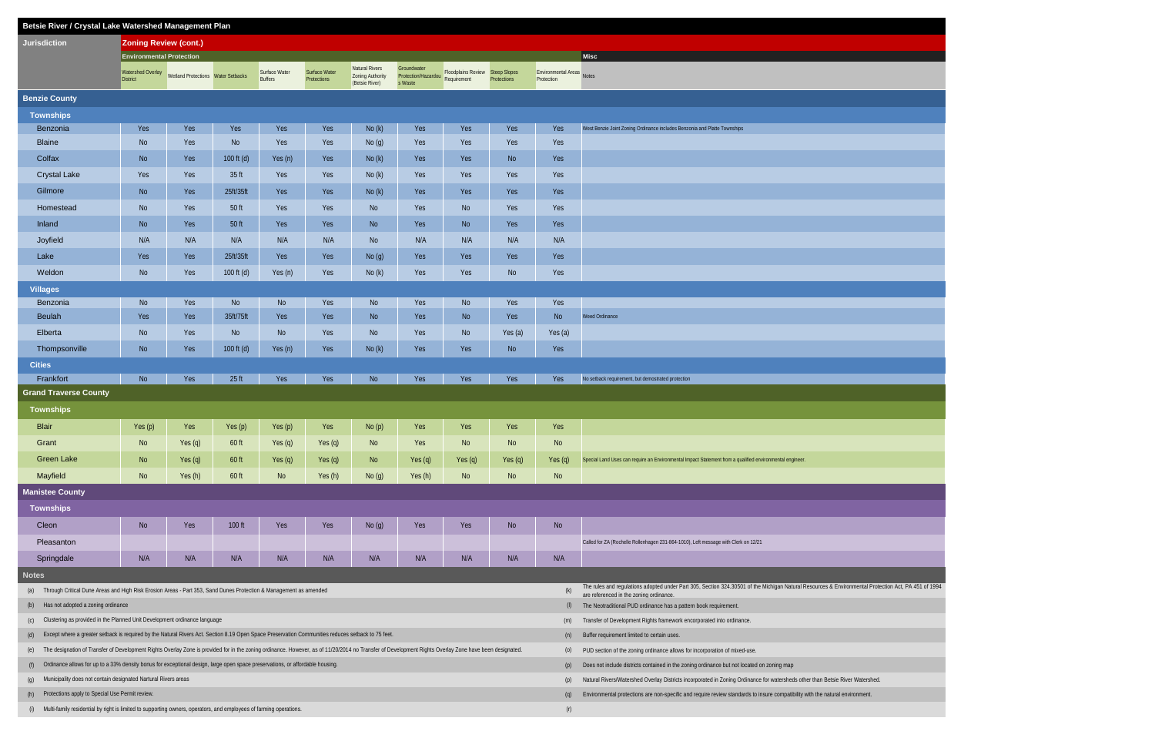| Betsie River / Crystal Lake Watershed Management Plan                                                                                                                                                         |                                      |                                    |                  |                                                                                                                                                      |                                     |                                                             |                                                                                                             |                                 |                    |                                   |                                                                                                                               |  |  |  |  |  |
|---------------------------------------------------------------------------------------------------------------------------------------------------------------------------------------------------------------|--------------------------------------|------------------------------------|------------------|------------------------------------------------------------------------------------------------------------------------------------------------------|-------------------------------------|-------------------------------------------------------------|-------------------------------------------------------------------------------------------------------------|---------------------------------|--------------------|-----------------------------------|-------------------------------------------------------------------------------------------------------------------------------|--|--|--|--|--|
| <b>Jurisdiction</b>                                                                                                                                                                                           | <b>Zoning Review (cont.)</b>         |                                    |                  |                                                                                                                                                      |                                     |                                                             |                                                                                                             |                                 |                    |                                   |                                                                                                                               |  |  |  |  |  |
|                                                                                                                                                                                                               | <b>Environmental Protection</b>      |                                    |                  |                                                                                                                                                      |                                     |                                                             |                                                                                                             |                                 |                    |                                   | Misc                                                                                                                          |  |  |  |  |  |
|                                                                                                                                                                                                               | Watershed Overlay<br><b>District</b> | Wetland Protections Water Setbacks |                  | Surface Water<br><b>Buffers</b>                                                                                                                      | Surface Water<br><b>Protections</b> | Natural Rivers<br><b>Zoning Authority</b><br>(Betsie River) | Groundwater<br>Protection/Hazardou Requirement<br>s Waste                                                   | Floodplains Review Steep Slopes | <b>Protections</b> | Environmental Areas<br>Protection |                                                                                                                               |  |  |  |  |  |
| <b>Benzie County</b>                                                                                                                                                                                          |                                      |                                    |                  |                                                                                                                                                      |                                     |                                                             |                                                                                                             |                                 |                    |                                   |                                                                                                                               |  |  |  |  |  |
| <b>Townships</b>                                                                                                                                                                                              |                                      |                                    |                  |                                                                                                                                                      |                                     |                                                             |                                                                                                             |                                 |                    |                                   |                                                                                                                               |  |  |  |  |  |
| Benzonia                                                                                                                                                                                                      | Yes                                  | Yes                                | Yes              | Yes                                                                                                                                                  | Yes                                 | No(k)                                                       | Yes                                                                                                         | Yes                             | Yes                | Yes                               | West Benzie Joint Zoning Ordinance includes Benzonia and Platte Townships                                                     |  |  |  |  |  |
| <b>Blaine</b>                                                                                                                                                                                                 | No                                   | Yes                                | No               | Yes                                                                                                                                                  | Yes                                 | No(g)                                                       | Yes                                                                                                         | Yes                             | Yes                | Yes                               |                                                                                                                               |  |  |  |  |  |
| Colfax                                                                                                                                                                                                        | <b>No</b>                            | Yes                                | 100 ft (d)       | Yes (n)                                                                                                                                              | Yes                                 | No(k)                                                       | Yes                                                                                                         | Yes                             | <b>No</b>          | Yes                               |                                                                                                                               |  |  |  |  |  |
| <b>Crystal Lake</b>                                                                                                                                                                                           | Yes                                  | Yes                                | 35 <sub>ft</sub> | Yes                                                                                                                                                  | Yes                                 | No(k)                                                       | Yes                                                                                                         | Yes                             | Yes                | Yes                               |                                                                                                                               |  |  |  |  |  |
| Gilmore                                                                                                                                                                                                       | No                                   | Yes                                | 25ft/35ft        | Yes                                                                                                                                                  | Yes                                 | No(k)                                                       | Yes                                                                                                         | Yes                             | Yes                | Yes                               |                                                                                                                               |  |  |  |  |  |
| Homestead                                                                                                                                                                                                     | No                                   | Yes                                | 50 ft            | Yes                                                                                                                                                  | Yes                                 | <b>No</b>                                                   | Yes                                                                                                         | No                              | Yes                | Yes                               |                                                                                                                               |  |  |  |  |  |
| Inland                                                                                                                                                                                                        | No                                   | Yes                                | 50 ft            | Yes                                                                                                                                                  | Yes                                 | N <sub>o</sub>                                              | Yes                                                                                                         | <b>No</b>                       | Yes                | Yes                               |                                                                                                                               |  |  |  |  |  |
| Joyfield                                                                                                                                                                                                      | N/A                                  | N/A                                | N/A              | N/A                                                                                                                                                  | N/A                                 | <b>No</b>                                                   | N/A                                                                                                         | N/A                             | N/A                | N/A                               |                                                                                                                               |  |  |  |  |  |
| Lake                                                                                                                                                                                                          | Yes                                  | Yes                                | 25ft/35ft        | Yes                                                                                                                                                  | Yes                                 | No(g)                                                       | Yes                                                                                                         | Yes                             | Yes                | Yes                               |                                                                                                                               |  |  |  |  |  |
| Weldon                                                                                                                                                                                                        | <b>No</b>                            | Yes                                | 100 ft $(d)$     | Yes (n)                                                                                                                                              | Yes                                 | No(k)                                                       | Yes                                                                                                         | Yes                             | No                 | Yes                               |                                                                                                                               |  |  |  |  |  |
| <b>Villages</b>                                                                                                                                                                                               |                                      |                                    |                  |                                                                                                                                                      |                                     |                                                             |                                                                                                             |                                 |                    |                                   |                                                                                                                               |  |  |  |  |  |
| Benzonia                                                                                                                                                                                                      | No                                   | Yes                                | No               | <b>No</b>                                                                                                                                            | Yes                                 | No                                                          | Yes                                                                                                         | <b>No</b>                       | Yes                | Yes                               |                                                                                                                               |  |  |  |  |  |
| Beulah                                                                                                                                                                                                        | Yes                                  | Yes                                | 35ft/75ft        | Yes                                                                                                                                                  | Yes                                 | No                                                          | Yes                                                                                                         | No                              | Yes                | <b>No</b>                         | Weed Ordinance                                                                                                                |  |  |  |  |  |
| Elberta                                                                                                                                                                                                       | No                                   | Yes                                | No               | <b>No</b>                                                                                                                                            | Yes                                 | <b>No</b>                                                   | Yes                                                                                                         | No                              | Yes (a)            | Yes (a)                           |                                                                                                                               |  |  |  |  |  |
| Thompsonville                                                                                                                                                                                                 | No                                   | Yes                                | 100 $ft(d)$      | Yes (n)                                                                                                                                              | Yes                                 | No(k)                                                       | Yes                                                                                                         | Yes                             | No                 | Yes                               |                                                                                                                               |  |  |  |  |  |
| <b>Cities</b>                                                                                                                                                                                                 |                                      |                                    |                  |                                                                                                                                                      |                                     |                                                             |                                                                                                             |                                 |                    |                                   |                                                                                                                               |  |  |  |  |  |
| Frankfort                                                                                                                                                                                                     | <b>No</b>                            | Yes                                | 25 ft            | Yes                                                                                                                                                  | Yes                                 | <b>No</b>                                                   | Yes                                                                                                         | Yes                             | Yes                | Yes                               | No setback requirement, but demostrated protection                                                                            |  |  |  |  |  |
| <b>Grand Traverse County</b>                                                                                                                                                                                  |                                      |                                    |                  |                                                                                                                                                      |                                     |                                                             |                                                                                                             |                                 |                    |                                   |                                                                                                                               |  |  |  |  |  |
| <b>Townships</b>                                                                                                                                                                                              |                                      |                                    |                  |                                                                                                                                                      |                                     |                                                             |                                                                                                             |                                 |                    |                                   |                                                                                                                               |  |  |  |  |  |
| <b>Blair</b>                                                                                                                                                                                                  | Yes $(p)$                            | Yes                                | Yes $(p)$        | Yes (p)                                                                                                                                              | Yes                                 | No(p)                                                       | Yes                                                                                                         | Yes                             | Yes                | Yes                               |                                                                                                                               |  |  |  |  |  |
| Grant                                                                                                                                                                                                         | <b>No</b>                            | Yes $(q)$                          | 60 ft            | Yes (q)                                                                                                                                              | Yes $(q)$                           | <b>No</b>                                                   | Yes                                                                                                         | <b>No</b>                       | N <sub>o</sub>     | <b>No</b>                         |                                                                                                                               |  |  |  |  |  |
| <b>Green Lake</b>                                                                                                                                                                                             | N <sub>o</sub>                       | Yes (q)                            | $60$ ft          | Yes (q)                                                                                                                                              | Yes $(q)$                           | No                                                          | Yes (q)                                                                                                     | Yes (q)                         | Yes $(q)$          | Yes $(q)$                         | Special Land Uses can require an Environmental Impact Statement from a qualified environmental engineer.                      |  |  |  |  |  |
| Mayfield                                                                                                                                                                                                      | N <sub>o</sub>                       | Yes (h)                            | $60$ ft          | <b>No</b>                                                                                                                                            | Yes (h)                             | No(g)                                                       | Yes (h)                                                                                                     | N <sub>o</sub>                  | No                 | N <sub>o</sub>                    |                                                                                                                               |  |  |  |  |  |
| <b>Manistee County</b>                                                                                                                                                                                        |                                      |                                    |                  |                                                                                                                                                      |                                     |                                                             |                                                                                                             |                                 |                    |                                   |                                                                                                                               |  |  |  |  |  |
| <b>Townships</b>                                                                                                                                                                                              |                                      |                                    |                  |                                                                                                                                                      |                                     |                                                             |                                                                                                             |                                 |                    |                                   |                                                                                                                               |  |  |  |  |  |
| Cleon                                                                                                                                                                                                         | No                                   | Yes                                | $100$ ft         | Yes                                                                                                                                                  | Yes                                 | No(g)                                                       | Yes                                                                                                         | Yes                             | No                 | No                                |                                                                                                                               |  |  |  |  |  |
| Pleasanton                                                                                                                                                                                                    |                                      |                                    |                  |                                                                                                                                                      |                                     |                                                             |                                                                                                             |                                 |                    |                                   | Called for ZA (Rochelle Rollenhagen 231-864-1010), Left message with Clerk on 12/21                                           |  |  |  |  |  |
| Springdale                                                                                                                                                                                                    | N/A                                  | N/A                                | N/A              | N/A                                                                                                                                                  | N/A                                 | N/A                                                         | N/A                                                                                                         | N/A                             | N/A                | N/A                               |                                                                                                                               |  |  |  |  |  |
| <b>Notes</b>                                                                                                                                                                                                  |                                      |                                    |                  |                                                                                                                                                      |                                     |                                                             |                                                                                                             |                                 |                    |                                   |                                                                                                                               |  |  |  |  |  |
| Through Critical Dune Areas and High Risk Erosion Areas - Part 353, Sand Dunes Protection & Management as amended<br>(a)                                                                                      |                                      |                                    |                  | The rules and regulations adopted under Part 305, Section 324.30501 of the Michigan Natural Resources & Environmental Protection Act, PA 451 of 1994 |                                     |                                                             |                                                                                                             |                                 |                    |                                   |                                                                                                                               |  |  |  |  |  |
| Has not adopted a zoning ordinance<br>(b)                                                                                                                                                                     |                                      |                                    |                  |                                                                                                                                                      |                                     | (k)<br>(1)                                                  | are referenced in the zoning ordinance.<br>The Neotraditional PUD ordinance has a pattern book requirement. |                                 |                    |                                   |                                                                                                                               |  |  |  |  |  |
| Clustering as provided in the Planned Unit Development ordinance language<br>(c)                                                                                                                              |                                      |                                    |                  |                                                                                                                                                      |                                     |                                                             |                                                                                                             |                                 |                    |                                   | Transfer of Development Rights framework encorporated into ordinance.                                                         |  |  |  |  |  |
| Except where a greater setback is required by the Natural Rivers Act. Section 8.19 Open Space Preservation Communities reduces setback to 75 feet.<br>(d)                                                     |                                      |                                    |                  |                                                                                                                                                      |                                     | (n)                                                         | Buffer requirement limited to certain uses.                                                                 |                                 |                    |                                   |                                                                                                                               |  |  |  |  |  |
| The designation of Transfer of Development Rights Overlay Zone is provided for in the zoning ordinance. However, as of 11/20/2014 no Transfer of Development Rights Overlay Zone have been designated.<br>(e) |                                      |                                    |                  |                                                                                                                                                      |                                     | (0)                                                         | PUD section of the zoning ordinance allows for incorporation of mixed-use.                                  |                                 |                    |                                   |                                                                                                                               |  |  |  |  |  |
| Ordinance allows for up to a 33% density bonus for exceptional design, large open space preservations, or affordable housing.<br>(f)                                                                          |                                      |                                    |                  |                                                                                                                                                      |                                     |                                                             |                                                                                                             |                                 |                    | (p)                               | Does not include districts contained in the zoning ordinance but not located on zoning map                                    |  |  |  |  |  |
| Municipality does not contain designated Nartural Rivers areas<br>(g)                                                                                                                                         |                                      |                                    |                  |                                                                                                                                                      |                                     |                                                             |                                                                                                             |                                 |                    | (p)                               | Natural Rivers/Watershed Overlay Districts incorporated in Zoning Ordinance for watersheds other than Betsie River Watershed. |  |  |  |  |  |
| Protections apply to Special Use Permit review.<br>(h)                                                                                                                                                        |                                      |                                    |                  |                                                                                                                                                      |                                     |                                                             |                                                                                                             |                                 |                    | (q)                               | Environmental protections are non-specific and require review standards to insure compatibility with the natural environment. |  |  |  |  |  |
| (i)                                                                                                                                                                                                           |                                      |                                    |                  | Multi-family residential by right is limited to supporting owners, operators, and employees of farming operations.                                   |                                     | (r)                                                         |                                                                                                             |                                 |                    |                                   |                                                                                                                               |  |  |  |  |  |